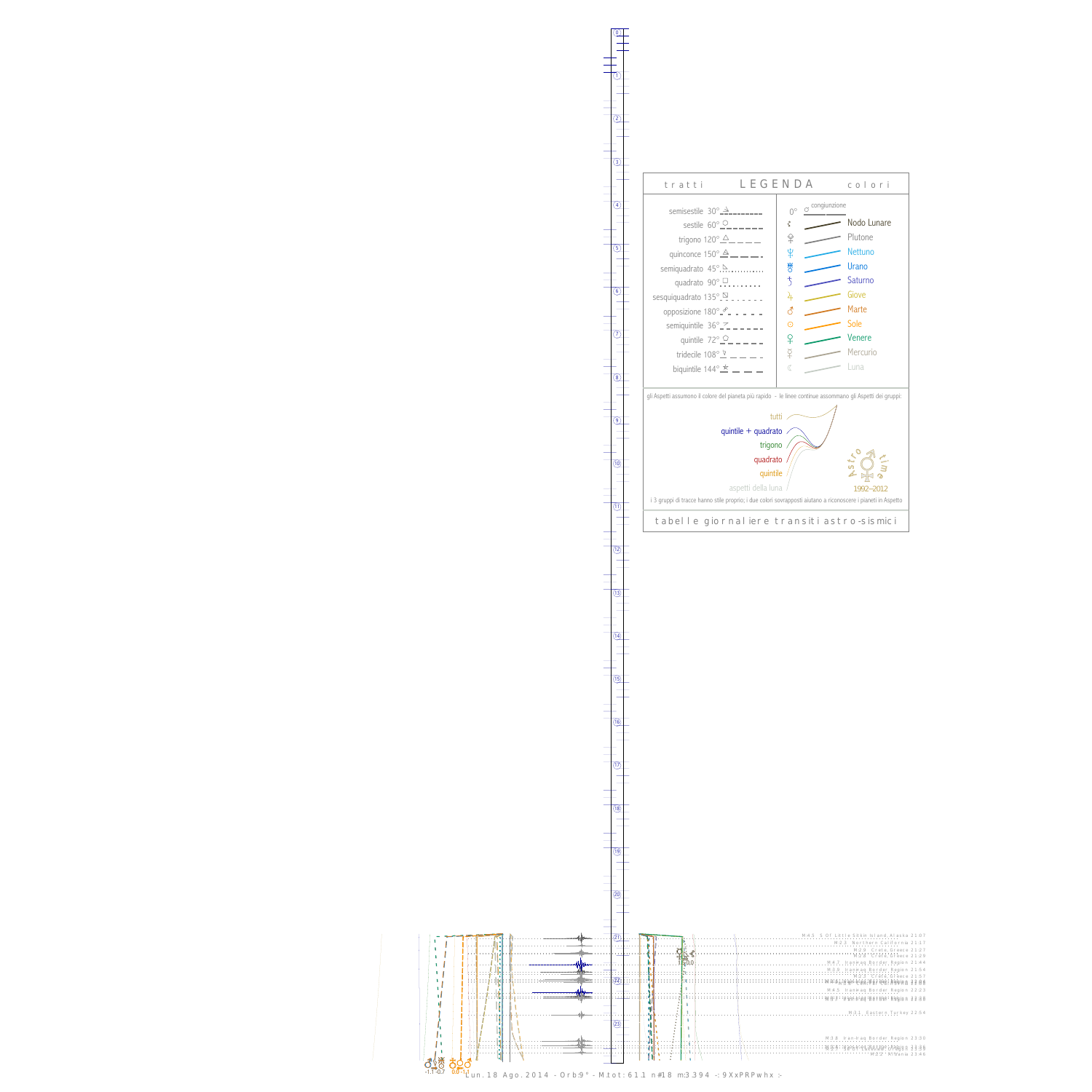